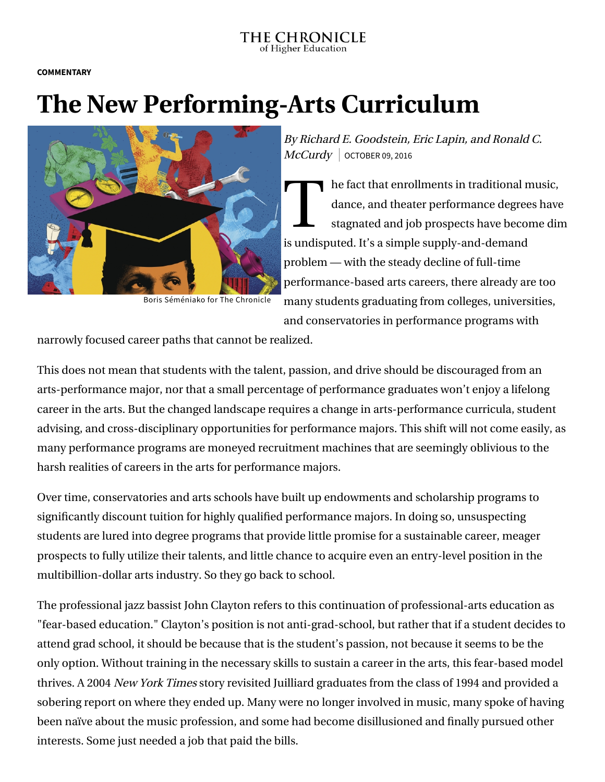## THE CHRONICLE of Higher Education

**COMMENTARY**

## **The New Performing-Arts Curriculum**



Boris Séméniako for The Chronicle

By Richard E. Goodstein, Eric Lapin, and Ronald C.  $McCurdy$  OCTOBER 09, 2016

T he fact that enrollments in traditional music, dance, and theater performance degrees have stagnated and job prospects have become dim is undisputed. It's a simple supply-and-demand problem — with the steady decline of full-time performance-based arts careers, there already are too many students graduating from colleges, universities, and conservatories in performance programs with

narrowly focused career paths that cannot be realized.

This does not mean that students with the talent, passion, and drive should be discouraged from an arts-performance major, nor that a small percentage of performance graduates won't enjoy a lifelong career in the arts. But the changed landscape requires a change in arts-performance curricula, student advising, and cross-disciplinary opportunities for performance majors. This shift will not come easily, as many performance programs are moneyed recruitment machines that are seemingly oblivious to the harsh realities of careers in the arts for performance majors.

Over time, conservatories and arts schools have built up endowments and scholarship programs to significantly discount tuition for highly qualified performance majors. In doing so, unsuspecting students are lured into degree programs that provide little promise for a sustainable career, meager prospects to fully utilize their talents, and little chance to acquire even an entry-level position in the multibillion-dollar arts industry. So they go back to school.

The professional jazz bassist John Clayton refers to this continuation of professional-arts education as "fear-based education." Clayton's position is not anti-grad-school, but rather that if a student decides to attend grad school, it should be because that is the student's passion, not because it seems to be the only option. Without training in the necessary skills to sustain a career in the arts, this fear-based model thrives. A 2004 New York Times story revisited Juilliard graduates from the class of 1994 and provided a sobering report on where they ended up. Many were no longer involved in music, many spoke of having been naïve about the music profession, and some had become disillusioned and finally pursued other interests. Some just needed a job that paid the bills.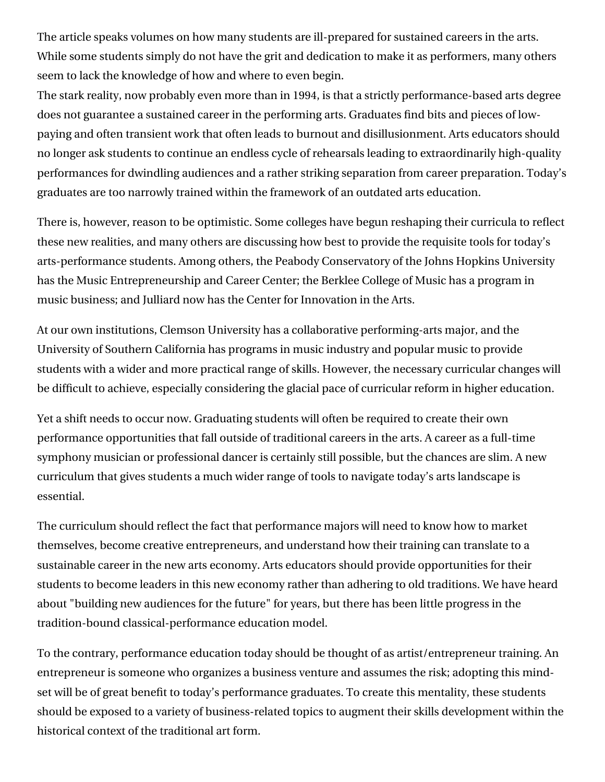The article speaks volumes on how many students are ill-prepared for sustained careers in the arts. While some students simply do not have the grit and dedication to make it as performers, many others seem to lack the knowledge of how and where to even begin.

The stark reality, now probably even more than in 1994, is that a strictly performance-based arts degree does not guarantee a sustained career in the performing arts. Graduates find bits and pieces of lowpaying and often transient work that often leads to burnout and disillusionment. Arts educators should no longer ask students to continue an endless cycle of rehearsals leading to extraordinarily high-quality performances for dwindling audiences and a rather striking separation from career preparation. Today's graduates are too narrowly trained within the framework of an outdated arts education.

There is, however, reason to be optimistic. Some colleges have begun reshaping their curricula to reflect these new realities, and many others are discussing how best to provide the requisite tools for today's arts-performance students. Among others, the Peabody Conservatory of the Johns Hopkins University has the Music Entrepreneurship and Career Center; the Berklee College of Music has a program in music business; and Julliard now has the Center for Innovation in the Arts.

At our own institutions, Clemson University has a collaborative performing-arts major, and the University of Southern California has programs in music industry and popular music to provide students with a wider and more practical range of skills. However, the necessary curricular changes will be difficult to achieve, especially considering the glacial pace of curricular reform in higher education.

Yet a shift needs to occur now. Graduating students will often be required to create their own performance opportunities that fall outside of traditional careers in the arts. A career as a full-time symphony musician or professional dancer is certainly still possible, but the chances are slim. A new curriculum that gives students a much wider range of tools to navigate today's arts landscape is essential.

The curriculum should reflect the fact that performance majors will need to know how to market themselves, become creative entrepreneurs, and understand how their training can translate to a sustainable career in the new arts economy. Arts educators should provide opportunities for their students to become leaders in this new economy rather than adhering to old traditions. We have heard about "building new audiences for the future" for years, but there has been little progress in the tradition-bound classical-performance education model.

To the contrary, performance education today should be thought of as artist/entrepreneur training. An entrepreneur is someone who organizes a business venture and assumes the risk; adopting this mindset will be of great benefit to today's performance graduates. To create this mentality, these students should be exposed to a variety of business-related topics to augment their skills development within the historical context of the traditional art form.